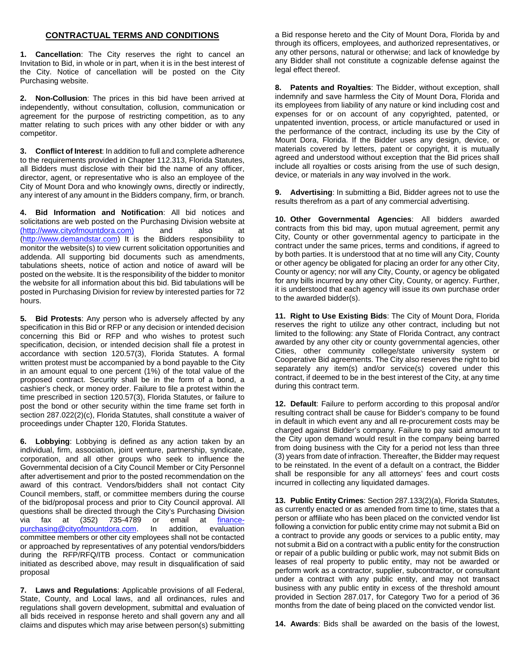## **CONTRACTUAL TERMS AND CONDITIONS**

**1. Cancellation**: The City reserves the right to cancel an Invitation to Bid, in whole or in part, when it is in the best interest of the City. Notice of cancellation will be posted on the City Purchasing website.

**2. Non-Collusion**: The prices in this bid have been arrived at independently, without consultation, collusion, communication or agreement for the purpose of restricting competition, as to any matter relating to such prices with any other bidder or with any competitor.

**3. Conflict of Interest**: In addition to full and complete adherence to the requirements provided in Chapter 112.313, Florida Statutes, all Bidders must disclose with their bid the name of any officer, director, agent, or representative who is also an employee of the City of Mount Dora and who knowingly owns, directly or indirectly, any interest of any amount in the Bidders company, firm, or branch.

**4. Bid Information and Notification**: All bid notices and solicitations are web posted on the Purchasing Division website at [\(http://www.cityofmountdora.com\)](http://www.cityofmountdora.com/) and also at [\(http://www.demandstar.com\)](http://www.demandstar.com/) It is the Bidders responsibility to monitor the website(s) to view current solicitation opportunities and addenda. All supporting bid documents such as amendments, tabulations sheets, notice of action and notice of award will be posted on the website. It is the responsibility of the bidder to monitor the website for all information about this bid. Bid tabulations will be posted in Purchasing Division for review by interested parties for 72 hours.

**5. Bid Protests**: Any person who is adversely affected by any specification in this Bid or RFP or any decision or intended decision concerning this Bid or RFP and who wishes to protest such specification, decision, or intended decision shall file a protest in accordance with section 120.57(3), Florida Statutes. A formal written protest must be accompanied by a bond payable to the City in an amount equal to one percent (1%) of the total value of the proposed contract. Security shall be in the form of a bond, a cashier's check, or money order. Failure to file a protest within the time prescribed in section 120.57(3), Florida Statutes, or failure to post the bond or other security within the time frame set forth in section 287.022(2)(c), Florida Statutes, shall constitute a waiver of proceedings under Chapter 120, Florida Statutes.

**6. Lobbying**: Lobbying is defined as any action taken by an individual, firm, association, joint venture, partnership, syndicate, corporation, and all other groups who seek to influence the Governmental decision of a City Council Member or City Personnel after advertisement and prior to the posted recommendation on the award of this contract. Vendors/bidders shall not contact City Council members, staff, or committee members during the course of the bid/proposal process and prior to City Council approval. All questions shall be directed through the City's Purchasing Division via fax at (352) 735-4789 or email at *finance-*<br>purchasing@cityofmountdora.com. In addition, evaluation [purchasing@cityofmountdora.com.](mailto:finance-purchasing@cityofmountdora.com) committee members or other city employees shall not be contacted or approached by representatives of any potential vendors/bidders during the RFP/RFQ/ITB process. Contact or communication initiated as described above, may result in disqualification of said proposal

**7. Laws and Regulations**: Applicable provisions of all Federal, State, County, and Local laws, and all ordinances, rules and regulations shall govern development, submittal and evaluation of all bids received in response hereto and shall govern any and all claims and disputes which may arise between person(s) submitting a Bid response hereto and the City of Mount Dora, Florida by and through its officers, employees, and authorized representatives, or any other persons, natural or otherwise; and lack of knowledge by any Bidder shall not constitute a cognizable defense against the legal effect thereof.

**8. Patents and Royalties**: The Bidder, without exception, shall indemnify and save harmless the City of Mount Dora, Florida and its employees from liability of any nature or kind including cost and expenses for or on account of any copyrighted, patented, or unpatented invention, process, or article manufactured or used in the performance of the contract, including its use by the City of Mount Dora, Florida. If the Bidder uses any design, device, or materials covered by letters, patent or copyright, it is mutually agreed and understood without exception that the Bid prices shall include all royalties or costs arising from the use of such design, device, or materials in any way involved in the work.

**9. Advertising**: In submitting a Bid, Bidder agrees not to use the results therefrom as a part of any commercial advertising.

**10. Other Governmental Agencies**: All bidders awarded contracts from this bid may, upon mutual agreement, permit any City, County or other governmental agency to participate in the contract under the same prices, terms and conditions, if agreed to by both parties. It is understood that at no time will any City, County or other agency be obligated for placing an order for any other City, County or agency; nor will any City, County, or agency be obligated for any bills incurred by any other City, County, or agency. Further, it is understood that each agency will issue its own purchase order to the awarded bidder(s).

**11. Right to Use Existing Bids**: The City of Mount Dora, Florida reserves the right to utilize any other contract, including but not limited to the following: any State of Florida Contract, any contract awarded by any other city or county governmental agencies, other Cities, other community college/state university system or Cooperative Bid agreements. The City also reserves the right to bid separately any item(s) and/or service(s) covered under this contract, if deemed to be in the best interest of the City, at any time during this contract term.

**12. Default**: Failure to perform according to this proposal and/or resulting contract shall be cause for Bidder's company to be found in default in which event any and all re-procurement costs may be charged against Bidder's company. Failure to pay said amount to the City upon demand would result in the company being barred from doing business with the City for a period not less than three (3) years from date of infraction. Thereafter, the Bidder may request to be reinstated. In the event of a default on a contract, the Bidder shall be responsible for any all attorneys' fees and court costs incurred in collecting any liquidated damages.

**13. Public Entity Crimes**: Section 287.133(2)(a), Florida Statutes, as currently enacted or as amended from time to time, states that a person or affiliate who has been placed on the convicted vendor list following a conviction for public entity crime may not submit a Bid on a contract to provide any goods or services to a public entity, may not submit a Bid on a contract with a public entity for the construction or repair of a public building or public work, may not submit Bids on leases of real property to public entity, may not be awarded or perform work as a contractor, supplier, subcontractor, or consultant under a contract with any public entity, and may not transact business with any public entity in excess of the threshold amount provided in Section 287.017, for Category Two for a period of 36 months from the date of being placed on the convicted vendor list.

**14. Awards**: Bids shall be awarded on the basis of the lowest,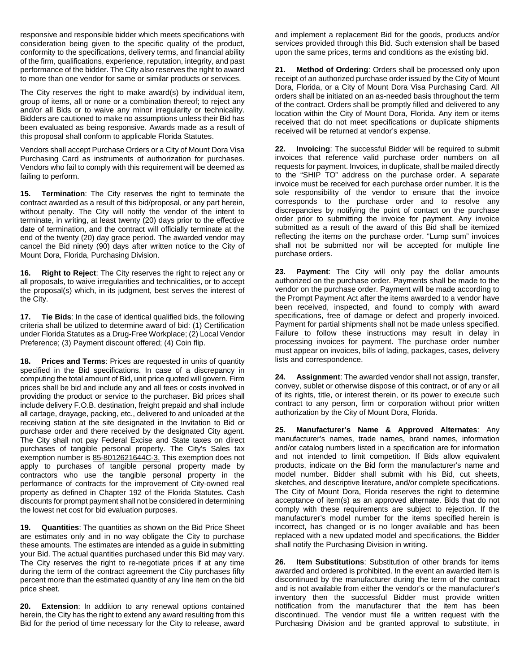responsive and responsible bidder which meets specifications with consideration being given to the specific quality of the product, conformity to the specifications, delivery terms, and financial ability of the firm, qualifications, experience, reputation, integrity, and past performance of the bidder. The City also reserves the right to award to more than one vendor for same or similar products or services.

The City reserves the right to make award(s) by individual item, group of items, all or none or a combination thereof; to reject any and/or all Bids or to waive any minor irregularity or technicality. Bidders are cautioned to make no assumptions unless their Bid has been evaluated as being responsive. Awards made as a result of this proposal shall conform to applicable Florida Statutes.

Vendors shall accept Purchase Orders or a City of Mount Dora Visa Purchasing Card as instruments of authorization for purchases. Vendors who fail to comply with this requirement will be deemed as failing to perform.

**15. Termination**: The City reserves the right to terminate the contract awarded as a result of this bid/proposal, or any part herein, without penalty. The City will notify the vendor of the intent to terminate, in writing, at least twenty (20) days prior to the effective date of termination, and the contract will officially terminate at the end of the twenty (20) day grace period. The awarded vendor may cancel the Bid ninety (90) days after written notice to the City of Mount Dora, Florida, Purchasing Division.

**16. Right to Reject**: The City reserves the right to reject any or all proposals, to waive irregularities and technicalities, or to accept the proposal(s) which, in its judgment, best serves the interest of the City.

**17. Tie Bids**: In the case of identical qualified bids, the following criteria shall be utilized to determine award of bid: (1) Certification under Florida Statutes as a Drug-Free Workplace; (2) Local Vendor Preference; (3) Payment discount offered; (4) Coin flip.

**18. Prices and Terms**: Prices are requested in units of quantity specified in the Bid specifications. In case of a discrepancy in computing the total amount of Bid, unit price quoted will govern. Firm prices shall be bid and include any and all fees or costs involved in providing the product or service to the purchaser. Bid prices shall include delivery F.O.B. destination, freight prepaid and shall include all cartage, drayage, packing, etc., delivered to and unloaded at the receiving station at the site designated in the Invitation to Bid or purchase order and there received by the designated City agent. The City shall not pay Federal Excise and State taxes on direct purchases of tangible personal property. The City's Sales tax exemption number is 85-8012621644C-3. This exemption does not apply to purchases of tangible personal property made by contractors who use the tangible personal property in the performance of contracts for the improvement of City-owned real property as defined in Chapter 192 of the Florida Statutes. Cash discounts for prompt payment shall not be considered in determining the lowest net cost for bid evaluation purposes.

**19. Quantities**: The quantities as shown on the Bid Price Sheet are estimates only and in no way obligate the City to purchase these amounts. The estimates are intended as a guide in submitting your Bid. The actual quantities purchased under this Bid may vary. The City reserves the right to re-negotiate prices if at any time during the term of the contract agreement the City purchases fifty percent more than the estimated quantity of any line item on the bid price sheet.

**20. Extension**: In addition to any renewal options contained herein, the City has the right to extend any award resulting from this Bid for the period of time necessary for the City to release, award

and implement a replacement Bid for the goods, products and/or services provided through this Bid. Such extension shall be based upon the same prices, terms and conditions as the existing bid.

**21. Method of Ordering**: Orders shall be processed only upon receipt of an authorized purchase order issued by the City of Mount Dora, Florida, or a City of Mount Dora Visa Purchasing Card. All orders shall be initiated on an as-needed basis throughout the term of the contract. Orders shall be promptly filled and delivered to any location within the City of Mount Dora, Florida. Any item or items received that do not meet specifications or duplicate shipments received will be returned at vendor's expense.

**22. Invoicing**: The successful Bidder will be required to submit invoices that reference valid purchase order numbers on all requests for payment. Invoices, in duplicate, shall be mailed directly to the "SHIP TO" address on the purchase order. A separate invoice must be received for each purchase order number. It is the sole responsibility of the vendor to ensure that the invoice corresponds to the purchase order and to resolve any discrepancies by notifying the point of contact on the purchase order prior to submitting the invoice for payment. Any invoice submitted as a result of the award of this Bid shall be itemized reflecting the items on the purchase order. "Lump sum" invoices shall not be submitted nor will be accepted for multiple line purchase orders.

**23. Payment**: The City will only pay the dollar amounts authorized on the purchase order. Payments shall be made to the vendor on the purchase order. Payment will be made according to the Prompt Payment Act after the items awarded to a vendor have been received, inspected, and found to comply with award specifications, free of damage or defect and properly invoiced. Payment for partial shipments shall not be made unless specified. Failure to follow these instructions may result in delay in processing invoices for payment. The purchase order number must appear on invoices, bills of lading, packages, cases, delivery lists and correspondence.

**24. Assignment**: The awarded vendor shall not assign, transfer, convey, sublet or otherwise dispose of this contract, or of any or all of its rights, title, or interest therein, or its power to execute such contract to any person, firm or corporation without prior written authorization by the City of Mount Dora, Florida.

**25. Manufacturer's Name & Approved Alternates**: Any manufacturer's names, trade names, brand names, information and/or catalog numbers listed in a specification are for information and not intended to limit competition. If Bids allow equivalent products, indicate on the Bid form the manufacturer's name and model number. Bidder shall submit with his Bid, cut sheets, sketches, and descriptive literature, and/or complete specifications. The City of Mount Dora, Florida reserves the right to determine acceptance of item(s) as an approved alternate. Bids that do not comply with these requirements are subject to rejection. If the manufacturer's model number for the items specified herein is incorrect, has changed or is no longer available and has been replaced with a new updated model and specifications, the Bidder shall notify the Purchasing Division in writing.

**26. Item Substitutions**: Substitution of other brands for items awarded and ordered is prohibited. In the event an awarded item is discontinued by the manufacturer during the term of the contract and is not available from either the vendor's or the manufacturer's inventory then the successful Bidder must provide written notification from the manufacturer that the item has been discontinued. The vendor must file a written request with the Purchasing Division and be granted approval to substitute, in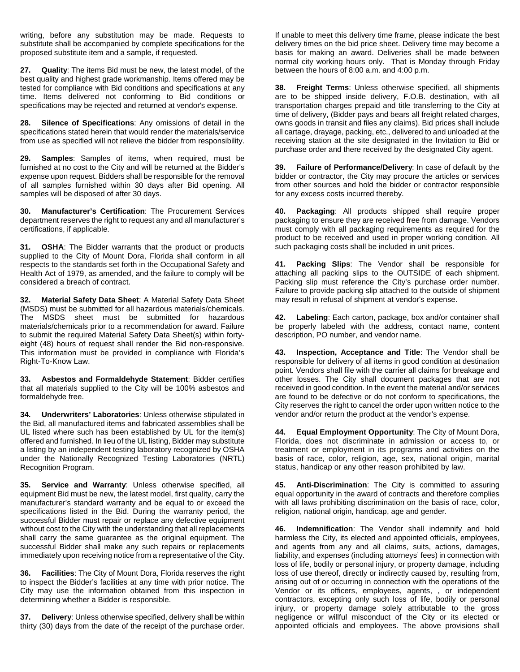writing, before any substitution may be made. Requests to substitute shall be accompanied by complete specifications for the proposed substitute item and a sample, if requested.

**27. Quality**: The items Bid must be new, the latest model, of the best quality and highest grade workmanship. Items offered may be tested for compliance with Bid conditions and specifications at any time. Items delivered not conforming to Bid conditions or specifications may be rejected and returned at vendor's expense.

**28. Silence of Specifications**: Any omissions of detail in the specifications stated herein that would render the materials/service from use as specified will not relieve the bidder from responsibility.

**29. Samples**: Samples of items, when required, must be furnished at no cost to the City and will be returned at the Bidder's expense upon request. Bidders shall be responsible for the removal of all samples furnished within 30 days after Bid opening. All samples will be disposed of after 30 days.

**30. Manufacturer's Certification**: The Procurement Services department reserves the right to request any and all manufacturer's certifications, if applicable.

**31. OSHA**: The Bidder warrants that the product or products supplied to the City of Mount Dora, Florida shall conform in all respects to the standards set forth in the Occupational Safety and Health Act of 1979, as amended, and the failure to comply will be considered a breach of contract.

**32. Material Safety Data Sheet**: A Material Safety Data Sheet (MSDS) must be submitted for all hazardous materials/chemicals. The MSDS sheet must be submitted for hazardous materials/chemicals prior to a recommendation for award. Failure to submit the required Material Safety Data Sheet(s) within fortyeight (48) hours of request shall render the Bid non-responsive. This information must be provided in compliance with Florida's Right-To-Know Law.

**33. Asbestos and Formaldehyde Statement**: Bidder certifies that all materials supplied to the City will be 100% asbestos and formaldehyde free.

**34. Underwriters' Laboratories**: Unless otherwise stipulated in the Bid, all manufactured items and fabricated assemblies shall be UL listed where such has been established by UL for the item(s) offered and furnished. In lieu of the UL listing, Bidder may substitute a listing by an independent testing laboratory recognized by OSHA under the Nationally Recognized Testing Laboratories (NRTL) Recognition Program.

**35. Service and Warranty**: Unless otherwise specified, all equipment Bid must be new, the latest model, first quality, carry the manufacturer's standard warranty and be equal to or exceed the specifications listed in the Bid. During the warranty period, the successful Bidder must repair or replace any defective equipment without cost to the City with the understanding that all replacements shall carry the same guarantee as the original equipment. The successful Bidder shall make any such repairs or replacements immediately upon receiving notice from a representative of the City.

**36. Facilities**: The City of Mount Dora, Florida reserves the right to inspect the Bidder's facilities at any time with prior notice. The City may use the information obtained from this inspection in determining whether a Bidder is responsible.

**37. Delivery**: Unless otherwise specified, delivery shall be within thirty (30) days from the date of the receipt of the purchase order.

If unable to meet this delivery time frame, please indicate the best delivery times on the bid price sheet. Delivery time may become a basis for making an award. Deliveries shall be made between normal city working hours only. That is Monday through Friday between the hours of 8:00 a.m. and 4:00 p.m.

**38. Freight Terms**: Unless otherwise specified, all shipments are to be shipped inside delivery, F.O.B. destination, with all transportation charges prepaid and title transferring to the City at time of delivery, (Bidder pays and bears all freight related charges, owns goods in transit and files any claims). Bid prices shall include all cartage, drayage, packing, etc., delivered to and unloaded at the receiving station at the site designated in the Invitation to Bid or purchase order and there received by the designated City agent.

**39. Failure of Performance/Delivery**: In case of default by the bidder or contractor, the City may procure the articles or services from other sources and hold the bidder or contractor responsible for any excess costs incurred thereby.

**40. Packaging**: All products shipped shall require proper packaging to ensure they are received free from damage. Vendors must comply with all packaging requirements as required for the product to be received and used in proper working condition. All such packaging costs shall be included in unit prices.

**41. Packing Slips**: The Vendor shall be responsible for attaching all packing slips to the OUTSIDE of each shipment. Packing slip must reference the City's purchase order number. Failure to provide packing slip attached to the outside of shipment may result in refusal of shipment at vendor's expense.

**42. Labeling**: Each carton, package, box and/or container shall be properly labeled with the address, contact name, content description, PO number, and vendor name.

**43. Inspection, Acceptance and Title**: The Vendor shall be responsible for delivery of all items in good condition at destination point. Vendors shall file with the carrier all claims for breakage and other losses. The City shall document packages that are not received in good condition. In the event the material and/or services are found to be defective or do not conform to specifications, the City reserves the right to cancel the order upon written notice to the vendor and/or return the product at the vendor's expense.

**44. Equal Employment Opportunity**: The City of Mount Dora, Florida, does not discriminate in admission or access to, or treatment or employment in its programs and activities on the basis of race, color, religion, age, sex, national origin, marital status, handicap or any other reason prohibited by law.

**45. Anti-Discrimination**: The City is committed to assuring equal opportunity in the award of contracts and therefore complies with all laws prohibiting discrimination on the basis of race, color, religion, national origin, handicap, age and gender.

**46. Indemnification**: The Vendor shall indemnify and hold harmless the City, its elected and appointed officials, employees, and agents from any and all claims, suits, actions, damages, liability, and expenses (including attorneys' fees) in connection with loss of life, bodily or personal injury, or property damage, including loss of use thereof, directly or indirectly caused by, resulting from, arising out of or occurring in connection with the operations of the Vendor or its officers, employees, agents, , or independent contractors, excepting only such loss of life, bodily or personal injury, or property damage solely attributable to the gross negligence or willful misconduct of the City or its elected or appointed officials and employees. The above provisions shall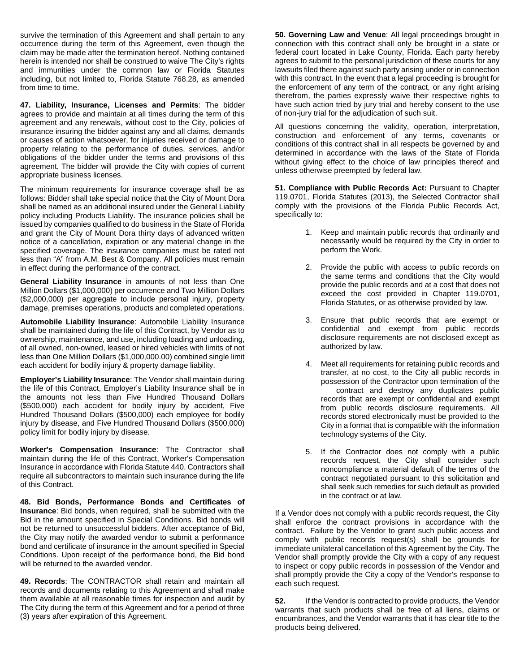survive the termination of this Agreement and shall pertain to any occurrence during the term of this Agreement, even though the claim may be made after the termination hereof. Nothing contained herein is intended nor shall be construed to waive The City's rights and immunities under the common law or Florida Statutes including, but not limited to, Florida Statute 768.28, as amended from time to time.

**47. Liability, Insurance, Licenses and Permits**: The bidder agrees to provide and maintain at all times during the term of this agreement and any renewals, without cost to the City, policies of insurance insuring the bidder against any and all claims, demands or causes of action whatsoever, for injuries received or damage to property relating to the performance of duties, services, and/or obligations of the bidder under the terms and provisions of this agreement. The bidder will provide the City with copies of current appropriate business licenses.

The minimum requirements for insurance coverage shall be as follows: Bidder shall take special notice that the City of Mount Dora shall be named as an additional insured under the General Liability policy including Products Liability. The insurance policies shall be issued by companies qualified to do business in the State of Florida and grant the City of Mount Dora thirty days of advanced written notice of a cancellation, expiration or any material change in the specified coverage. The insurance companies must be rated not less than "A" from A.M. Best & Company. All policies must remain in effect during the performance of the contract.

**General Liability Insurance** in amounts of not less than One Million Dollars (\$1,000,000) per occurrence and Two Million Dollars (\$2,000,000) per aggregate to include personal injury, property damage, premises operations, products and completed operations.

**Automobile Liability Insurance**: Automobile Liability Insurance shall be maintained during the life of this Contract, by Vendor as to ownership, maintenance, and use, including loading and unloading, of all owned, non-owned, leased or hired vehicles with limits of not less than One Million Dollars (\$1,000,000.00) combined single limit each accident for bodily injury & property damage liability.

**Employer's Liability Insurance**: The Vendor shall maintain during the life of this Contract, Employer's Liability Insurance shall be in the amounts not less than Five Hundred Thousand Dollars (\$500,000) each accident for bodily injury by accident, Five Hundred Thousand Dollars (\$500,000) each employee for bodily injury by disease, and Five Hundred Thousand Dollars (\$500,000) policy limit for bodily injury by disease.

**Worker's Compensation Insurance**: The Contractor shall maintain during the life of this Contract, Worker's Compensation Insurance in accordance with Florida Statute 440. Contractors shall require all subcontractors to maintain such insurance during the life of this Contract.

**48. Bid Bonds, Performance Bonds and Certificates of Insurance**: Bid bonds, when required, shall be submitted with the Bid in the amount specified in Special Conditions. Bid bonds will not be returned to unsuccessful bidders. After acceptance of Bid, the City may notify the awarded vendor to submit a performance bond and certificate of insurance in the amount specified in Special Conditions. Upon receipt of the performance bond, the Bid bond will be returned to the awarded vendor.

**49. Records**: The CONTRACTOR shall retain and maintain all records and documents relating to this Agreement and shall make them available at all reasonable times for inspection and audit by The City during the term of this Agreement and for a period of three (3) years after expiration of this Agreement.

**50. Governing Law and Venue**: All legal proceedings brought in connection with this contract shall only be brought in a state or federal court located in Lake County, Florida. Each party hereby agrees to submit to the personal jurisdiction of these courts for any lawsuits filed there against such party arising under or in connection with this contract. In the event that a legal proceeding is brought for the enforcement of any term of the contract, or any right arising therefrom, the parties expressly waive their respective rights to have such action tried by jury trial and hereby consent to the use of non-jury trial for the adjudication of such suit.

All questions concerning the validity, operation, interpretation, construction and enforcement of any terms, covenants or conditions of this contract shall in all respects be governed by and determined in accordance with the laws of the State of Florida without giving effect to the choice of law principles thereof and unless otherwise preempted by federal law.

**51. Compliance with Public Records Act:** Pursuant to Chapter 119.0701, Florida Statutes (2013), the Selected Contractor shall comply with the provisions of the Florida Public Records Act, specifically to:

- 1. Keep and maintain public records that ordinarily and necessarily would be required by the City in order to perform the Work.
- 2. Provide the public with access to public records on the same terms and conditions that the City would provide the public records and at a cost that does not exceed the cost provided in Chapter 119.0701, Florida Statutes, or as otherwise provided by law.
- 3. Ensure that public records that are exempt or confidential and exempt from public records disclosure requirements are not disclosed except as authorized by law.
- 4. Meet all requirements for retaining public records and transfer, at no cost, to the City all public records in possession of the Contractor upon termination of the contract and destroy any duplicates public records that are exempt or confidential and exempt from public records disclosure requirements. All records stored electronically must be provided to the City in a format that is compatible with the information technology systems of the City.
- 5. If the Contractor does not comply with a public records request, the City shall consider such noncompliance a material default of the terms of the contract negotiated pursuant to this solicitation and shall seek such remedies for such default as provided in the contract or at law.

If a Vendor does not comply with a public records request, the City shall enforce the contract provisions in accordance with the contract. Failure by the Vendor to grant such public access and comply with public records request(s) shall be grounds for immediate unilateral cancellation of this Agreement by the City. The Vendor shall promptly provide the City with a copy of any request to inspect or copy public records in possession of the Vendor and shall promptly provide the City a copy of the Vendor's response to each such request.

**52.** If the Vendor is contracted to provide products, the Vendor warrants that such products shall be free of all liens, claims or encumbrances, and the Vendor warrants that it has clear title to the products being delivered.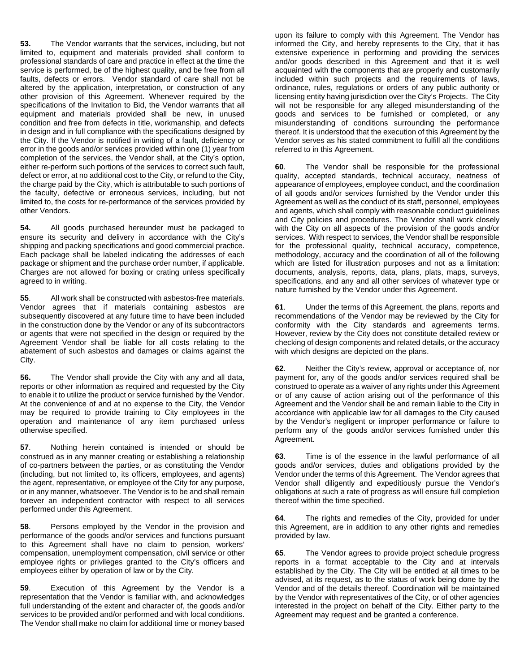**53.** The Vendor warrants that the services, including, but not limited to, equipment and materials provided shall conform to professional standards of care and practice in effect at the time the service is performed, be of the highest quality, and be free from all faults, defects or errors. Vendor standard of care shall not be altered by the application, interpretation, or construction of any other provision of this Agreement. Whenever required by the specifications of the Invitation to Bid, the Vendor warrants that all equipment and materials provided shall be new, in unused condition and free from defects in title, workmanship, and defects in design and in full compliance with the specifications designed by the City. If the Vendor is notified in writing of a fault, deficiency or error in the goods and/or services provided within one (1) year from completion of the services, the Vendor shall, at the City's option, either re-perform such portions of the services to correct such fault, defect or error, at no additional cost to the City, or refund to the City, the charge paid by the City, which is attributable to such portions of the faculty, defective or erroneous services, including, but not limited to, the costs for re-performance of the services provided by other Vendors.

**54.** All goods purchased hereunder must be packaged to ensure its security and delivery in accordance with the City's shipping and packing specifications and good commercial practice. Each package shall be labeled indicating the addresses of each package or shipment and the purchase order number, if applicable. Charges are not allowed for boxing or crating unless specifically agreed to in writing.

**55**. All work shall be constructed with asbestos-free materials. Vendor agrees that if materials containing asbestos are subsequently discovered at any future time to have been included in the construction done by the Vendor or any of its subcontractors or agents that were not specified in the design or required by the Agreement Vendor shall be liable for all costs relating to the abatement of such asbestos and damages or claims against the City.

**56.** The Vendor shall provide the City with any and all data, reports or other information as required and requested by the City to enable it to utilize the product or service furnished by the Vendor. At the convenience of and at no expense to the City, the Vendor may be required to provide training to City employees in the operation and maintenance of any item purchased unless otherwise specified.

**57**. Nothing herein contained is intended or should be construed as in any manner creating or establishing a relationship of co-partners between the parties, or as constituting the Vendor (including, but not limited to, its officers, employees, and agents) the agent, representative, or employee of the City for any purpose, or in any manner, whatsoever. The Vendor is to be and shall remain forever an independent contractor with respect to all services performed under this Agreement.

**58**. Persons employed by the Vendor in the provision and performance of the goods and/or services and functions pursuant to this Agreement shall have no claim to pension, workers' compensation, unemployment compensation, civil service or other employee rights or privileges granted to the City's officers and employees either by operation of law or by the City.

**59**. Execution of this Agreement by the Vendor is a representation that the Vendor is familiar with, and acknowledges full understanding of the extent and character of, the goods and/or services to be provided and/or performed and with local conditions. The Vendor shall make no claim for additional time or money based

upon its failure to comply with this Agreement. The Vendor has informed the City, and hereby represents to the City, that it has extensive experience in performing and providing the services and/or goods described in this Agreement and that it is well acquainted with the components that are properly and customarily included within such projects and the requirements of laws, ordinance, rules, regulations or orders of any public authority or licensing entity having jurisdiction over the City's Projects. The City will not be responsible for any alleged misunderstanding of the goods and services to be furnished or completed, or any misunderstanding of conditions surrounding the performance thereof. It is understood that the execution of this Agreement by the Vendor serves as his stated commitment to fulfill all the conditions referred to in this Agreement.

**60**. The Vendor shall be responsible for the professional quality, accepted standards, technical accuracy, neatness of appearance of employees, employee conduct, and the coordination of all goods and/or services furnished by the Vendor under this Agreement as well as the conduct of its staff, personnel, employees and agents, which shall comply with reasonable conduct guidelines and City policies and procedures. The Vendor shall work closely with the City on all aspects of the provision of the goods and/or services. With respect to services, the Vendor shall be responsible for the professional quality, technical accuracy, competence, methodology, accuracy and the coordination of all of the following which are listed for illustration purposes and not as a limitation: documents, analysis, reports, data, plans, plats, maps, surveys, specifications, and any and all other services of whatever type or nature furnished by the Vendor under this Agreement.

**61**. Under the terms of this Agreement, the plans, reports and recommendations of the Vendor may be reviewed by the City for conformity with the City standards and agreements terms. However, review by the City does not constitute detailed review or checking of design components and related details, or the accuracy with which designs are depicted on the plans.

**62**. Neither the City's review, approval or acceptance of, nor payment for, any of the goods and/or services required shall be construed to operate as a waiver of any rights under this Agreement or of any cause of action arising out of the performance of this Agreement and the Vendor shall be and remain liable to the City in accordance with applicable law for all damages to the City caused by the Vendor's negligent or improper performance or failure to perform any of the goods and/or services furnished under this Agreement.

**63**. Time is of the essence in the lawful performance of all goods and/or services, duties and obligations provided by the Vendor under the terms of this Agreement. The Vendor agrees that Vendor shall diligently and expeditiously pursue the Vendor's obligations at such a rate of progress as will ensure full completion thereof within the time specified.

**64**. The rights and remedies of the City, provided for under this Agreement, are in addition to any other rights and remedies provided by law.

**65**. The Vendor agrees to provide project schedule progress reports in a format acceptable to the City and at intervals established by the City. The City will be entitled at all times to be advised, at its request, as to the status of work being done by the Vendor and of the details thereof. Coordination will be maintained by the Vendor with representatives of the City, or of other agencies interested in the project on behalf of the City. Either party to the Agreement may request and be granted a conference.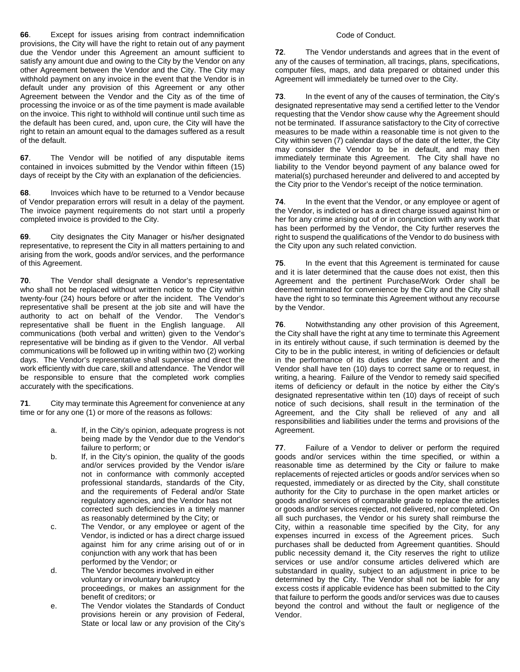**66**. Except for issues arising from contract indemnification provisions, the City will have the right to retain out of any payment due the Vendor under this Agreement an amount sufficient to satisfy any amount due and owing to the City by the Vendor on any other Agreement between the Vendor and the City. The City may withhold payment on any invoice in the event that the Vendor is in default under any provision of this Agreement or any other Agreement between the Vendor and the City as of the time of processing the invoice or as of the time payment is made available on the invoice. This right to withhold will continue until such time as the default has been cured, and, upon cure, the City will have the right to retain an amount equal to the damages suffered as a result of the default.

**67**. The Vendor will be notified of any disputable items contained in invoices submitted by the Vendor within fifteen (15) days of receipt by the City with an explanation of the deficiencies.

**68**. Invoices which have to be returned to a Vendor because of Vendor preparation errors will result in a delay of the payment. The invoice payment requirements do not start until a properly completed invoice is provided to the City.

**69**. City designates the City Manager or his/her designated representative, to represent the City in all matters pertaining to and arising from the work, goods and/or services, and the performance of this Agreement.

**70**. The Vendor shall designate a Vendor's representative who shall not be replaced without written notice to the City within twenty-four (24) hours before or after the incident. The Vendor's representative shall be present at the job site and will have the authority to act on behalf of the Vendor. The Vendor's representative shall be fluent in the English language. All communications (both verbal and written) given to the Vendor's representative will be binding as if given to the Vendor. All verbal communications will be followed up in writing within two (2) working days. The Vendor's representative shall supervise and direct the work efficiently with due care, skill and attendance. The Vendor will be responsible to ensure that the completed work complies accurately with the specifications.

**71**. City may terminate this Agreement for convenience at any time or for any one (1) or more of the reasons as follows:

- a. If, in the City's opinion, adequate progress is not being made by the Vendor due to the Vendor's failure to perform; or
- b. If, in the City's opinion, the quality of the goods and/or services provided by the Vendor is/are not in conformance with commonly accepted professional standards, standards of the City, and the requirements of Federal and/or State regulatory agencies, and the Vendor has not corrected such deficiencies in a timely manner as reasonably determined by the City; or
- c. The Vendor, or any employee or agent of the Vendor, is indicted or has a direct charge issued against him for any crime arising out of or in conjunction with any work that has been performed by the Vendor; or
- d. The Vendor becomes involved in either voluntary or involuntary bankruptcy proceedings, or makes an assignment for the benefit of creditors; or
- e. The Vendor violates the Standards of Conduct provisions herein or any provision of Federal, State or local law or any provision of the City's

## Code of Conduct.

**72**. The Vendor understands and agrees that in the event of any of the causes of termination, all tracings, plans, specifications, computer files, maps, and data prepared or obtained under this Agreement will immediately be turned over to the City.

**73**. In the event of any of the causes of termination, the City's designated representative may send a certified letter to the Vendor requesting that the Vendor show cause why the Agreement should not be terminated. If assurance satisfactory to the City of corrective measures to be made within a reasonable time is not given to the City within seven (7) calendar days of the date of the letter, the City may consider the Vendor to be in default, and may then immediately terminate this Agreement. The City shall have no liability to the Vendor beyond payment of any balance owed for material(s) purchased hereunder and delivered to and accepted by the City prior to the Vendor's receipt of the notice termination.

**74**. In the event that the Vendor, or any employee or agent of the Vendor, is indicted or has a direct charge issued against him or her for any crime arising out of or in conjunction with any work that has been performed by the Vendor, the City further reserves the right to suspend the qualifications of the Vendor to do business with the City upon any such related conviction.

**75**. In the event that this Agreement is terminated for cause and it is later determined that the cause does not exist, then this Agreement and the pertinent Purchase/Work Order shall be deemed terminated for convenience by the City and the City shall have the right to so terminate this Agreement without any recourse by the Vendor.

**76**. Notwithstanding any other provision of this Agreement, the City shall have the right at any time to terminate this Agreement in its entirely without cause, if such termination is deemed by the City to be in the public interest, in writing of deficiencies or default in the performance of its duties under the Agreement and the Vendor shall have ten (10) days to correct same or to request, in writing, a hearing. Failure of the Vendor to remedy said specified items of deficiency or default in the notice by either the City's designated representative within ten (10) days of receipt of such notice of such decisions, shall result in the termination of the Agreement, and the City shall be relieved of any and all responsibilities and liabilities under the terms and provisions of the Agreement.

**77**. Failure of a Vendor to deliver or perform the required goods and/or services within the time specified, or within a reasonable time as determined by the City or failure to make replacements of rejected articles or goods and/or services when so requested, immediately or as directed by the City, shall constitute authority for the City to purchase in the open market articles or goods and/or services of comparable grade to replace the articles or goods and/or services rejected, not delivered, nor completed. On all such purchases, the Vendor or his surety shall reimburse the City, within a reasonable time specified by the City, for any expenses incurred in excess of the Agreement prices. Such purchases shall be deducted from Agreement quantities. Should public necessity demand it, the City reserves the right to utilize services or use and/or consume articles delivered which are substandard in quality, subject to an adjustment in price to be determined by the City. The Vendor shall not be liable for any excess costs if applicable evidence has been submitted to the City that failure to perform the goods and/or services was due to causes beyond the control and without the fault or negligence of the Vendor.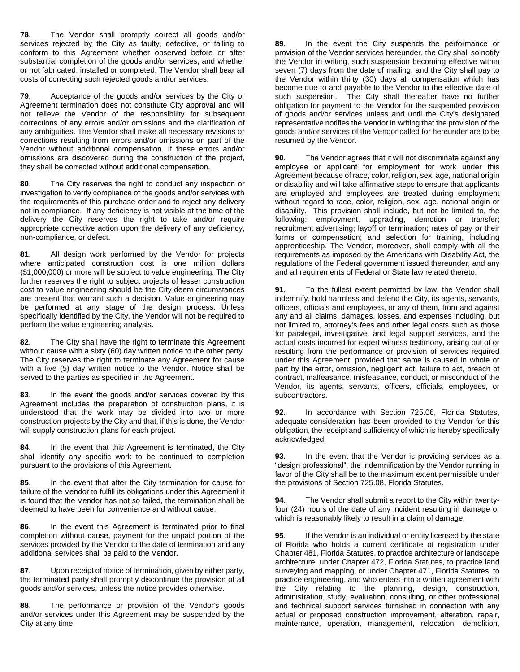**78**. The Vendor shall promptly correct all goods and/or services rejected by the City as faulty, defective, or failing to conform to this Agreement whether observed before or after substantial completion of the goods and/or services, and whether or not fabricated, installed or completed. The Vendor shall bear all costs of correcting such rejected goods and/or services.

**79**. Acceptance of the goods and/or services by the City or Agreement termination does not constitute City approval and will not relieve the Vendor of the responsibility for subsequent corrections of any errors and/or omissions and the clarification of any ambiguities. The Vendor shall make all necessary revisions or corrections resulting from errors and/or omissions on part of the Vendor without additional compensation. If these errors and/or omissions are discovered during the construction of the project, they shall be corrected without additional compensation.

**80**. The City reserves the right to conduct any inspection or investigation to verify compliance of the goods and/or services with the requirements of this purchase order and to reject any delivery not in compliance. If any deficiency is not visible at the time of the delivery the City reserves the right to take and/or require appropriate corrective action upon the delivery of any deficiency, non-compliance, or defect.

**81**. All design work performed by the Vendor for projects where anticipated construction cost is one million dollars (\$1,000,000) or more will be subject to value engineering. The City further reserves the right to subject projects of lesser construction cost to value engineering should be the City deem circumstances are present that warrant such a decision. Value engineering may be performed at any stage of the design process. Unless specifically identified by the City, the Vendor will not be required to perform the value engineering analysis.

**82**. The City shall have the right to terminate this Agreement without cause with a sixty (60) day written notice to the other party. The City reserves the right to terminate any Agreement for cause with a five (5) day written notice to the Vendor. Notice shall be served to the parties as specified in the Agreement.

**83**. In the event the goods and/or services covered by this Agreement includes the preparation of construction plans, it is understood that the work may be divided into two or more construction projects by the City and that, if this is done, the Vendor will supply construction plans for each project.

**84**. In the event that this Agreement is terminated, the City shall identify any specific work to be continued to completion pursuant to the provisions of this Agreement.

**85**. In the event that after the City termination for cause for failure of the Vendor to fulfill its obligations under this Agreement it is found that the Vendor has not so failed, the termination shall be deemed to have been for convenience and without cause.

**86**. In the event this Agreement is terminated prior to final completion without cause, payment for the unpaid portion of the services provided by the Vendor to the date of termination and any additional services shall be paid to the Vendor.

**87**. Upon receipt of notice of termination, given by either party, the terminated party shall promptly discontinue the provision of all goods and/or services, unless the notice provides otherwise.

**88**. The performance or provision of the Vendor's goods and/or services under this Agreement may be suspended by the City at any time.

**89**. In the event the City suspends the performance or provision of the Vendor services hereunder, the City shall so notify the Vendor in writing, such suspension becoming effective within seven (7) days from the date of mailing, and the City shall pay to the Vendor within thirty (30) days all compensation which has become due to and payable to the Vendor to the effective date of such suspension. The City shall thereafter have no further obligation for payment to the Vendor for the suspended provision of goods and/or services unless and until the City's designated representative notifies the Vendor in writing that the provision of the goods and/or services of the Vendor called for hereunder are to be resumed by the Vendor.

**90**. The Vendor agrees that it will not discriminate against any employee or applicant for employment for work under this Agreement because of race, color, religion, sex, age, national origin or disability and will take affirmative steps to ensure that applicants are employed and employees are treated during employment without regard to race, color, religion, sex, age, national origin or disability. This provision shall include, but not be limited to, the following: employment, upgrading, demotion or transfer; recruitment advertising; layoff or termination; rates of pay or their forms or compensation; and selection for training, including apprenticeship. The Vendor, moreover, shall comply with all the requirements as imposed by the Americans with Disability Act, the regulations of the Federal government issued thereunder, and any and all requirements of Federal or State law related thereto.

**91**. To the fullest extent permitted by law, the Vendor shall indemnify, hold harmless and defend the City, its agents, servants, officers, officials and employees, or any of them, from and against any and all claims, damages, losses, and expenses including, but not limited to, attorney's fees and other legal costs such as those for paralegal, investigative, and legal support services, and the actual costs incurred for expert witness testimony, arising out of or resulting from the performance or provision of services required under this Agreement, provided that same is caused in whole or part by the error, omission, negligent act, failure to act, breach of contract, malfeasance, misfeasance, conduct, or misconduct of the Vendor, its agents, servants, officers, officials, employees, or subcontractors.

**92**. In accordance with Section 725.06, Florida Statutes, adequate consideration has been provided to the Vendor for this obligation, the receipt and sufficiency of which is hereby specifically acknowledged.

**93**. In the event that the Vendor is providing services as a "design professional", the indemnification by the Vendor running in favor of the City shall be to the maximum extent permissible under the provisions of Section 725.08, Florida Statutes.

**94**. The Vendor shall submit a report to the City within twentyfour (24) hours of the date of any incident resulting in damage or which is reasonably likely to result in a claim of damage.

**95.** If the Vendor is an individual or entity licensed by the state of Florida who holds a current certificate of registration under Chapter 481, Florida Statutes, to practice architecture or landscape architecture, under Chapter 472, Florida Statutes, to practice land surveying and mapping, or under Chapter 471, Florida Statutes, to practice engineering, and who enters into a written agreement with the City relating to the planning, design, construction, administration, study, evaluation, consulting, or other professional and technical support services furnished in connection with any actual or proposed construction improvement, alteration, repair, maintenance, operation, management, relocation, demolition,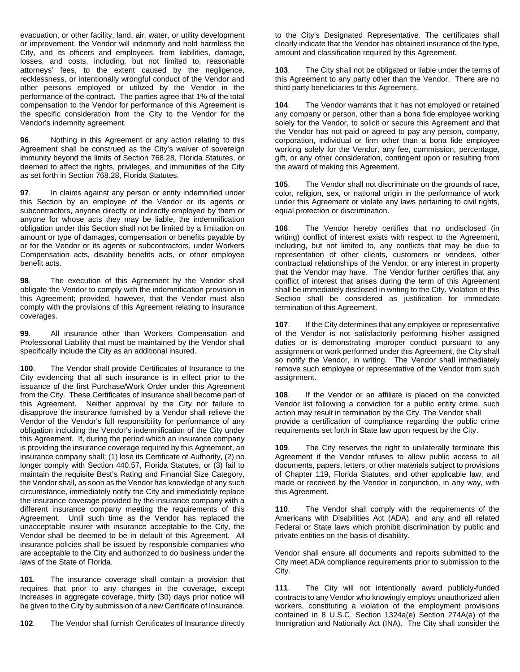evacuation, or other facility, land, air, water, or utility development or improvement, the Vendor will indemnify and hold harmless the City, and its officers and employees, from liabilities, damage, losses, and costs, including, but not limited to, reasonable attorneys' fees, to the extent caused by the negligence, recklessness, or intentionally wrongful conduct of the Vendor and other persons employed or utilized by the Vendor in the performance of the contract. The parties agree that 1% of the total compensation to the Vendor for performance of this Agreement is the specific consideration from the City to the Vendor for the Vendor's indemnity agreement.

**96**. Nothing in this Agreement or any action relating to this Agreement shall be construed as the City's waiver of sovereign immunity beyond the limits of Section 768.28, Florida Statutes, or deemed to affect the rights, privileges, and immunities of the City as set forth in Section 768.28, Florida Statutes.

**97**. In claims against any person or entity indemnified under this Section by an employee of the Vendor or its agents or subcontractors, anyone directly or indirectly employed by them or anyone for whose acts they may be liable, the indemnification obligation under this Section shall not be limited by a limitation on amount or type of damages, compensation or benefits payable by or for the Vendor or its agents or subcontractors, under Workers Compensation acts, disability benefits acts, or other employee benefit acts.

**98**. The execution of this Agreement by the Vendor shall obligate the Vendor to comply with the indemnification provision in this Agreement; provided, however, that the Vendor must also comply with the provisions of this Agreement relating to insurance coverages.

**99**. All insurance other than Workers Compensation and Professional Liability that must be maintained by the Vendor shall specifically include the City as an additional insured.

**100**. The Vendor shall provide Certificates of Insurance to the City evidencing that all such insurance is in effect prior to the issuance of the first Purchase/Work Order under this Agreement from the City. These Certificates of Insurance shall become part of this Agreement. Neither approval by the City nor failure to disapprove the insurance furnished by a Vendor shall relieve the Vendor of the Vendor's full responsibility for performance of any obligation including the Vendor's indemnification of the City under this Agreement. If, during the period which an insurance company is providing the insurance coverage required by this Agreement, an insurance company shall: (1) lose its Certificate of Authority, (2) no longer comply with Section 440.57, Florida Statutes, or (3) fail to maintain the requisite Best's Rating and Financial Size Category, the Vendor shall, as soon as the Vendor has knowledge of any such circumstance, immediately notify the City and immediately replace the insurance coverage provided by the insurance company with a different insurance company meeting the requirements of this Agreement. Until such time as the Vendor has replaced the unacceptable insurer with insurance acceptable to the City, the Vendor shall be deemed to be in default of this Agreement. All insurance policies shall be issued by responsible companies who are acceptable to the City and authorized to do business under the laws of the State of Florida.

**101**. The insurance coverage shall contain a provision that requires that prior to any changes in the coverage, except increases in aggregate coverage, thirty (30) days prior notice will be given to the City by submission of a new Certificate of Insurance.

**102**. The Vendor shall furnish Certificates of Insurance directly

to the City's Designated Representative. The certificates shall clearly indicate that the Vendor has obtained insurance of the type, amount and classification required by this Agreement.

**103**. The City shall not be obligated or liable under the terms of this Agreement to any party other than the Vendor. There are no third party beneficiaries to this Agreement.

**104**. The Vendor warrants that it has not employed or retained any company or person, other than a bona fide employee working solely for the Vendor, to solicit or secure this Agreement and that the Vendor has not paid or agreed to pay any person, company, corporation, individual or firm other than a bona fide employee working solely for the Vendor, any fee, commission, percentage, gift, or any other consideration, contingent upon or resulting from the award of making this Agreement.

**105**. The Vendor shall not discriminate on the grounds of race, color, religion, sex, or national origin in the performance of work under this Agreement or violate any laws pertaining to civil rights, equal protection or discrimination.

**106**. The Vendor hereby certifies that no undisclosed (in writing) conflict of interest exists with respect to the Agreement, including, but not limited to, any conflicts that may be due to representation of other clients, customers or vendees, other contractual relationships of the Vendor, or any interest in property that the Vendor may have. The Vendor further certifies that any conflict of interest that arises during the term of this Agreement shall be immediately disclosed in writing to the City. Violation of this Section shall be considered as justification for immediate termination of this Agreement.

**107**. If the City determines that any employee or representative of the Vendor is not satisfactorily performing his/her assigned duties or is demonstrating improper conduct pursuant to any assignment or work performed under this Agreement, the City shall so notify the Vendor, in writing. The Vendor shall immediately remove such employee or representative of the Vendor from such assignment.

**108**. If the Vendor or an affiliate is placed on the convicted Vendor list following a conviction for a public entity crime, such action may result in termination by the City. The Vendor shall provide a certification of compliance regarding the public crime requirements set forth in State law upon request by the City.

**109**. The City reserves the right to unilaterally terminate this Agreement if the Vendor refuses to allow public access to all documents, papers, letters, or other materials subject to provisions of Chapter 119, Florida Statutes, and other applicable law, and made or received by the Vendor in conjunction, in any way, with this Agreement.

**110**. The Vendor shall comply with the requirements of the Americans with Disabilities Act (ADA), and any and all related Federal or State laws which prohibit discrimination by public and private entities on the basis of disability.

Vendor shall ensure all documents and reports submitted to the City meet ADA compliance requirements prior to submission to the City.

**111**. The City will not intentionally award publicly-funded contracts to any Vendor who knowingly employs unauthorized alien workers, constituting a violation of the employment provisions contained in 8 U.S.C. Section 1324a(e) Section 274A(e) of the Immigration and Nationally Act (INA). The City shall consider the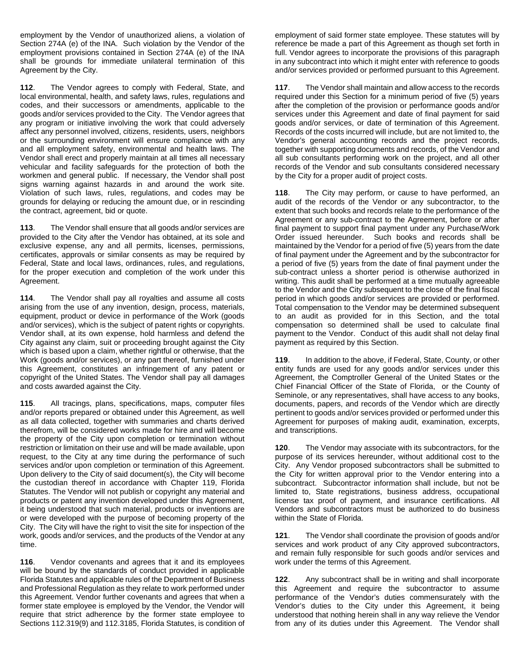employment by the Vendor of unauthorized aliens, a violation of Section 274A (e) of the INA. Such violation by the Vendor of the employment provisions contained in Section 274A (e) of the INA shall be grounds for immediate unilateral termination of this Agreement by the City.

**112**. The Vendor agrees to comply with Federal, State, and local environmental, health, and safety laws, rules, regulations and codes, and their successors or amendments, applicable to the goods and/or services provided to the City. The Vendor agrees that any program or initiative involving the work that could adversely affect any personnel involved, citizens, residents, users, neighbors or the surrounding environment will ensure compliance with any and all employment safety, environmental and health laws. The Vendor shall erect and properly maintain at all times all necessary vehicular and facility safeguards for the protection of both the workmen and general public. If necessary, the Vendor shall post signs warning against hazards in and around the work site. Violation of such laws, rules, regulations, and codes may be grounds for delaying or reducing the amount due, or in rescinding the contract, agreement, bid or quote.

**113**. The Vendor shall ensure that all goods and/or services are provided to the City after the Vendor has obtained, at its sole and exclusive expense, any and all permits, licenses, permissions, certificates, approvals or similar consents as may be required by Federal, State and local laws, ordinances, rules, and regulations, for the proper execution and completion of the work under this Agreement.

**114**. The Vendor shall pay all royalties and assume all costs arising from the use of any invention, design, process, materials, equipment, product or device in performance of the Work (goods and/or services), which is the subject of patent rights or copyrights. Vendor shall, at its own expense, hold harmless and defend the City against any claim, suit or proceeding brought against the City which is based upon a claim, whether rightful or otherwise, that the Work (goods and/or services), or any part thereof, furnished under this Agreement, constitutes an infringement of any patent or copyright of the United States. The Vendor shall pay all damages and costs awarded against the City.

**115**. All tracings, plans, specifications, maps, computer files and/or reports prepared or obtained under this Agreement, as well as all data collected, together with summaries and charts derived therefrom, will be considered works made for hire and will become the property of the City upon completion or termination without restriction or limitation on their use and will be made available, upon request, to the City at any time during the performance of such services and/or upon completion or termination of this Agreement. Upon delivery to the City of said document(s), the City will become the custodian thereof in accordance with Chapter 119, Florida Statutes. The Vendor will not publish or copyright any material and products or patent any invention developed under this Agreement, it being understood that such material, products or inventions are or were developed with the purpose of becoming property of the City. The City will have the right to visit the site for inspection of the work, goods and/or services, and the products of the Vendor at any time.

**116**. Vendor covenants and agrees that it and its employees will be bound by the standards of conduct provided in applicable Florida Statutes and applicable rules of the Department of Business and Professional Regulation as they relate to work performed under this Agreement. Vendor further covenants and agrees that when a former state employee is employed by the Vendor, the Vendor will require that strict adherence by the former state employee to Sections 112.319(9) and 112.3185, Florida Statutes, is condition of

employment of said former state employee. These statutes will by reference be made a part of this Agreement as though set forth in full. Vendor agrees to incorporate the provisions of this paragraph in any subcontract into which it might enter with reference to goods and/or services provided or performed pursuant to this Agreement.

**117**. The Vendor shall maintain and allow access to the records required under this Section for a minimum period of five (5) years after the completion of the provision or performance goods and/or services under this Agreement and date of final payment for said goods and/or services, or date of termination of this Agreement. Records of the costs incurred will include, but are not limited to, the Vendor's general accounting records and the project records, together with supporting documents and records, of the Vendor and all sub consultants performing work on the project, and all other records of the Vendor and sub consultants considered necessary by the City for a proper audit of project costs.

**118**. The City may perform, or cause to have performed, an audit of the records of the Vendor or any subcontractor, to the extent that such books and records relate to the performance of the Agreement or any sub-contract to the Agreement, before or after final payment to support final payment under any Purchase/Work Order issued hereunder. Such books and records shall be maintained by the Vendor for a period of five (5) years from the date of final payment under the Agreement and by the subcontractor for a period of five (5) years from the date of final payment under the sub-contract unless a shorter period is otherwise authorized in writing. This audit shall be performed at a time mutually agreeable to the Vendor and the City subsequent to the close of the final fiscal period in which goods and/or services are provided or performed. Total compensation to the Vendor may be determined subsequent to an audit as provided for in this Section, and the total compensation so determined shall be used to calculate final payment to the Vendor. Conduct of this audit shall not delay final payment as required by this Section.

**119**. In addition to the above, if Federal, State, County, or other entity funds are used for any goods and/or services under this Agreement, the Comptroller General of the United States or the Chief Financial Officer of the State of Florida, or the County of Seminole, or any representatives, shall have access to any books, documents, papers, and records of the Vendor which are directly pertinent to goods and/or services provided or performed under this Agreement for purposes of making audit, examination, excerpts, and transcriptions.

**120**. The Vendor may associate with its subcontractors, for the purpose of its services hereunder, without additional cost to the City. Any Vendor proposed subcontractors shall be submitted to the City for written approval prior to the Vendor entering into a subcontract. Subcontractor information shall include, but not be limited to, State registrations, business address, occupational license tax proof of payment, and insurance certifications. All Vendors and subcontractors must be authorized to do business within the State of Florida.

**121**. The Vendor shall coordinate the provision of goods and/or services and work product of any City approved subcontractors, and remain fully responsible for such goods and/or services and work under the terms of this Agreement.

**122**. Any subcontract shall be in writing and shall incorporate this Agreement and require the subcontractor to assume performance of the Vendor's duties commensurately with the Vendor's duties to the City under this Agreement, it being understood that nothing herein shall in any way relieve the Vendor from any of its duties under this Agreement. The Vendor shall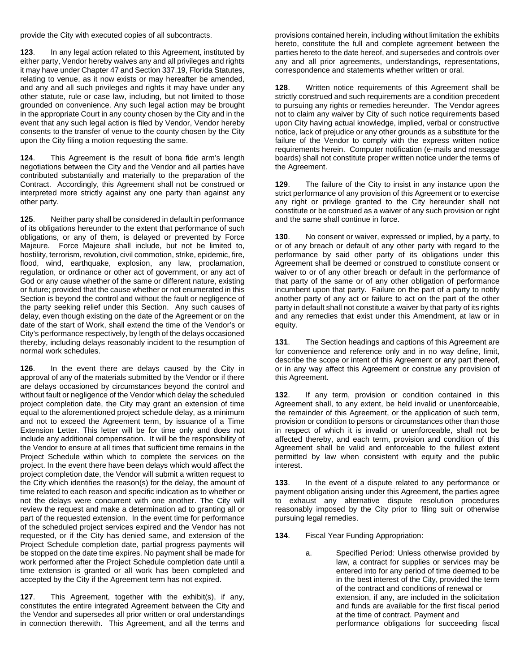provide the City with executed copies of all subcontracts.

**123**. In any legal action related to this Agreement, instituted by either party, Vendor hereby waives any and all privileges and rights it may have under Chapter 47 and Section 337.19, Florida Statutes, relating to venue, as it now exists or may hereafter be amended, and any and all such privileges and rights it may have under any other statute, rule or case law, including, but not limited to those grounded on convenience. Any such legal action may be brought in the appropriate Court in any county chosen by the City and in the event that any such legal action is filed by Vendor, Vendor hereby consents to the transfer of venue to the county chosen by the City upon the City filing a motion requesting the same.

**124**. This Agreement is the result of bona fide arm's length negotiations between the City and the Vendor and all parties have contributed substantially and materially to the preparation of the Contract. Accordingly, this Agreement shall not be construed or interpreted more strictly against any one party than against any other party.

**125**. Neither party shall be considered in default in performance of its obligations hereunder to the extent that performance of such obligations, or any of them, is delayed or prevented by Force Majeure. Force Majeure shall include, but not be limited to, hostility, terrorism, revolution, civil commotion, strike, epidemic, fire, flood, wind, earthquake, explosion, any law, proclamation, regulation, or ordinance or other act of government, or any act of God or any cause whether of the same or different nature, existing or future; provided that the cause whether or not enumerated in this Section is beyond the control and without the fault or negligence of the party seeking relief under this Section. Any such causes of delay, even though existing on the date of the Agreement or on the date of the start of Work, shall extend the time of the Vendor's or City's performance respectively, by length of the delays occasioned thereby, including delays reasonably incident to the resumption of normal work schedules.

**126**. In the event there are delays caused by the City in approval of any of the materials submitted by the Vendor or if there are delays occasioned by circumstances beyond the control and without fault or negligence of the Vendor which delay the scheduled project completion date, the City may grant an extension of time equal to the aforementioned project schedule delay, as a minimum and not to exceed the Agreement term, by issuance of a Time Extension Letter. This letter will be for time only and does not include any additional compensation. It will be the responsibility of the Vendor to ensure at all times that sufficient time remains in the Project Schedule within which to complete the services on the project. In the event there have been delays which would affect the project completion date, the Vendor will submit a written request to the City which identifies the reason(s) for the delay, the amount of time related to each reason and specific indication as to whether or not the delays were concurrent with one another. The City will review the request and make a determination ad to granting all or part of the requested extension. In the event time for performance of the scheduled project services expired and the Vendor has not requested, or if the City has denied same, and extension of the Project Schedule completion date, partial progress payments will be stopped on the date time expires. No payment shall be made for work performed after the Project Schedule completion date until a time extension is granted or all work has been completed and accepted by the City if the Agreement term has not expired.

**127**. This Agreement, together with the exhibit(s), if any, constitutes the entire integrated Agreement between the City and the Vendor and supersedes all prior written or oral understandings in connection therewith. This Agreement, and all the terms and

provisions contained herein, including without limitation the exhibits hereto, constitute the full and complete agreement between the parties hereto to the date hereof, and supersedes and controls over any and all prior agreements, understandings, representations, correspondence and statements whether written or oral.

**128**. Written notice requirements of this Agreement shall be strictly construed and such requirements are a condition precedent to pursuing any rights or remedies hereunder. The Vendor agrees not to claim any waiver by City of such notice requirements based upon City having actual knowledge, implied, verbal or constructive notice, lack of prejudice or any other grounds as a substitute for the failure of the Vendor to comply with the express written notice requirements herein. Computer notification (e-mails and message boards) shall not constitute proper written notice under the terms of the Agreement.

**129**. The failure of the City to insist in any instance upon the strict performance of any provision of this Agreement or to exercise any right or privilege granted to the City hereunder shall not constitute or be construed as a waiver of any such provision or right and the same shall continue in force.

**130**. No consent or waiver, expressed or implied, by a party, to or of any breach or default of any other party with regard to the performance by said other party of its obligations under this Agreement shall be deemed or construed to constitute consent or waiver to or of any other breach or default in the performance of that party of the same or of any other obligation of performance incumbent upon that party. Failure on the part of a party to notify another party of any act or failure to act on the part of the other party in default shall not constitute a waiver by that party of its rights and any remedies that exist under this Amendment, at law or in equity.

**131**. The Section headings and captions of this Agreement are for convenience and reference only and in no way define, limit, describe the scope or intent of this Agreement or any part thereof, or in any way affect this Agreement or construe any provision of this Agreement.

**132**. If any term, provision or condition contained in this Agreement shall, to any extent, be held invalid or unenforceable, the remainder of this Agreement, or the application of such term, provision or condition to persons or circumstances other than those in respect of which it is invalid or unenforceable, shall not be affected thereby, and each term, provision and condition of this Agreement shall be valid and enforceable to the fullest extent permitted by law when consistent with equity and the public interest.

**133**. In the event of a dispute related to any performance or payment obligation arising under this Agreement, the parties agree to exhaust any alternative dispute resolution procedures reasonably imposed by the City prior to filing suit or otherwise pursuing legal remedies.

**134**. Fiscal Year Funding Appropriation:

a. Specified Period: Unless otherwise provided by law, a contract for supplies or services may be entered into for any period of time deemed to be in the best interest of the City, provided the term of the contract and conditions of renewal or extension, if any, are included in the solicitation and funds are available for the first fiscal period at the time of contract. Payment and performance obligations for succeeding fiscal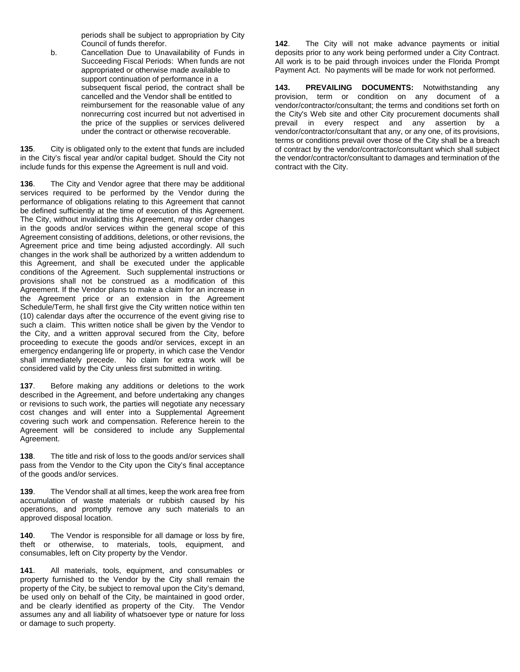periods shall be subject to appropriation by City Council of funds therefor.

b. Cancellation Due to Unavailability of Funds in Succeeding Fiscal Periods: When funds are not appropriated or otherwise made available to support continuation of performance in a subsequent fiscal period, the contract shall be cancelled and the Vendor shall be entitled to reimbursement for the reasonable value of any nonrecurring cost incurred but not advertised in the price of the supplies or services delivered under the contract or otherwise recoverable.

**135**. City is obligated only to the extent that funds are included in the City's fiscal year and/or capital budget. Should the City not include funds for this expense the Agreement is null and void.

**136**. The City and Vendor agree that there may be additional services required to be performed by the Vendor during the performance of obligations relating to this Agreement that cannot be defined sufficiently at the time of execution of this Agreement. The City, without invalidating this Agreement, may order changes in the goods and/or services within the general scope of this Agreement consisting of additions, deletions, or other revisions, the Agreement price and time being adjusted accordingly. All such changes in the work shall be authorized by a written addendum to this Agreement, and shall be executed under the applicable conditions of the Agreement. Such supplemental instructions or provisions shall not be construed as a modification of this Agreement. If the Vendor plans to make a claim for an increase in the Agreement price or an extension in the Agreement Schedule/Term, he shall first give the City written notice within ten (10) calendar days after the occurrence of the event giving rise to such a claim. This written notice shall be given by the Vendor to the City, and a written approval secured from the City, before proceeding to execute the goods and/or services, except in an emergency endangering life or property, in which case the Vendor shall immediately precede. No claim for extra work will be considered valid by the City unless first submitted in writing.

**137**. Before making any additions or deletions to the work described in the Agreement, and before undertaking any changes or revisions to such work, the parties will negotiate any necessary cost changes and will enter into a Supplemental Agreement covering such work and compensation. Reference herein to the Agreement will be considered to include any Supplemental Agreement.

**138**. The title and risk of loss to the goods and/or services shall pass from the Vendor to the City upon the City's final acceptance of the goods and/or services.

**139**. The Vendor shall at all times, keep the work area free from accumulation of waste materials or rubbish caused by his operations, and promptly remove any such materials to an approved disposal location.

**140**. The Vendor is responsible for all damage or loss by fire, theft or otherwise, to materials, tools, equipment, and consumables, left on City property by the Vendor.

**141**. All materials, tools, equipment, and consumables or property furnished to the Vendor by the City shall remain the property of the City, be subject to removal upon the City's demand, be used only on behalf of the City, be maintained in good order, and be clearly identified as property of the City. The Vendor assumes any and all liability of whatsoever type or nature for loss or damage to such property.

**142**. The City will not make advance payments or initial deposits prior to any work being performed under a City Contract. All work is to be paid through invoices under the Florida Prompt Payment Act. No payments will be made for work not performed.

**143. PREVAILING DOCUMENTS:** Notwithstanding any provision, term or condition on any document of a vendor/contractor/consultant; the terms and conditions set forth on the City's Web site and other City procurement documents shall prevail in every respect and any assertion by a vendor/contractor/consultant that any, or any one, of its provisions, terms or conditions prevail over those of the City shall be a breach of contract by the vendor/contractor/consultant which shall subject the vendor/contractor/consultant to damages and termination of the contract with the City.